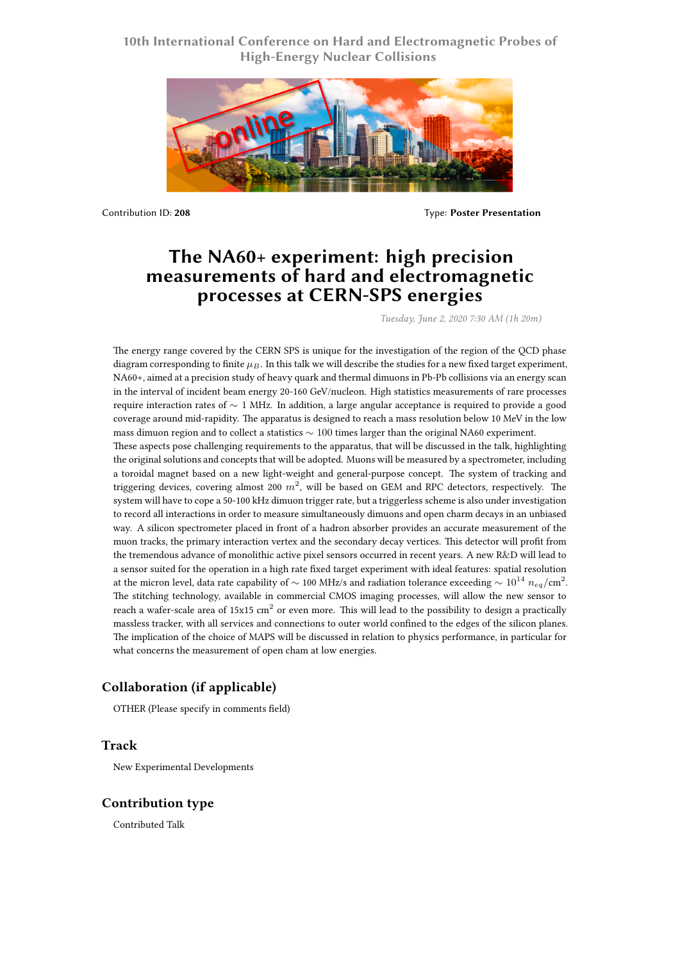## **10th International Conference on Hard and Electromagnetic Probes of High-Energy Nuclear Collisions**



Contribution ID: **208** Type: **Poster Presentation**

# **The NA60+ experiment: high precision measurements of hard and electromagnetic processes at CERN-SPS energies**

*Tuesday, June 2, 2020 7:30 AM (1h 20m)*

The energy range covered by the CERN SPS is unique for the investigation of the region of the QCD phase diagram corresponding to finite *µB*. In this talk we will describe the studies for a new fixed target experiment, NA60+, aimed at a precision study of heavy quark and thermal dimuons in Pb-Pb collisions via an energy scan in the interval of incident beam energy 20-160 GeV/nucleon. High statistics measurements of rare processes require interaction rates of *∼* 1 MHz. In addition, a large angular acceptance is required to provide a good coverage around mid-rapidity. The apparatus is designed to reach a mass resolution below 10 MeV in the low mass dimuon region and to collect a statistics *∼* 100 times larger than the original NA60 experiment.

These aspects pose challenging requirements to the apparatus, that will be discussed in the talk, highlighting the original solutions and concepts that will be adopted. Muons will be measured by a spectrometer, including a toroidal magnet based on a new light-weight and general-purpose concept. The system of tracking and triggering devices, covering almost 200 *m*<sup>2</sup> , will be based on GEM and RPC detectors, respectively. The system will have to cope a 50-100 kHz dimuon trigger rate, but a triggerless scheme is also under investigation to record all interactions in order to measure simultaneously dimuons and open charm decays in an unbiased way. A silicon spectrometer placed in front of a hadron absorber provides an accurate measurement of the muon tracks, the primary interaction vertex and the secondary decay vertices. This detector will profit from the tremendous advance of monolithic active pixel sensors occurred in recent years. A new R&D will lead to a sensor suited for the operation in a high rate fixed target experiment with ideal features: spatial resolution at the micron level, data rate capability of *<sup>∼</sup>* 100 MHz/s and radiation tolerance exceeding *<sup>∼</sup>* <sup>10</sup><sup>14</sup> *<sup>n</sup>eq*/cm<sup>2</sup> . The stitching technology, available in commercial CMOS imaging processes, will allow the new sensor to reach a wafer-scale area of 15x15  $\rm cm^2$  or even more. This will lead to the possibility to design a practically massless tracker, with all services and connections to outer world confined to the edges of the silicon planes. The implication of the choice of MAPS will be discussed in relation to physics performance, in particular for what concerns the measurement of open cham at low energies.

## **Collaboration (if applicable)**

OTHER (Please specify in comments field)

### **Track**

New Experimental Developments

### **Contribution type**

Contributed Talk